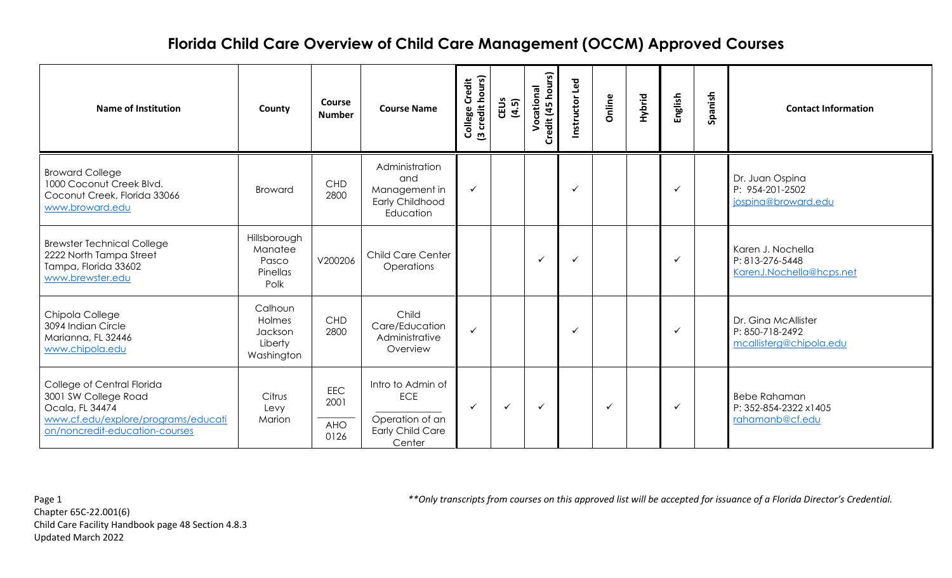| <b>Name of Institution</b>                                                                                                                     | County                                                | <b>Course</b><br><b>Number</b>    | <b>Course Name</b>                                                                      | College Credit<br>(3 credit hours) | CEUS<br>(4.5) | Credit (45 hours)<br>Vocational | Instructor Led | Online       | Hybrid | English      | Spanish | <b>Contact Information</b>                                        |
|------------------------------------------------------------------------------------------------------------------------------------------------|-------------------------------------------------------|-----------------------------------|-----------------------------------------------------------------------------------------|------------------------------------|---------------|---------------------------------|----------------|--------------|--------|--------------|---------|-------------------------------------------------------------------|
| <b>Broward College</b><br>1000 Coconut Creek Blvd.<br>Coconut Creek, Florida 33066<br>www.broward.edu                                          | Broward                                               | <b>CHD</b><br>2800                | Administration<br>and<br>Management in<br><b>Early Childhood</b><br>Education           | $\checkmark$                       |               |                                 | $\checkmark$   |              |        | $\checkmark$ |         | Dr. Juan Ospina<br>P: 954-201-2502<br>jospina@broward.edu         |
| <b>Brewster Technical College</b><br>2222 North Tampa Street<br>Tampa, Florida 33602<br>www.brewster.edu                                       | Hillsborough<br>Manatee<br>Pasco<br>Pinellas<br>Polk  | V200206                           | Child Care Center<br>Operations                                                         |                                    |               | $\checkmark$                    | $\checkmark$   |              |        | $\checkmark$ |         | Karen J. Nochella<br>P: 813-276-5448<br>KarenJ.Nochella@hcps.net  |
| Chipola College<br>3094 Indian Circle<br>Marianna, FL 32446<br>www.chipola.edu                                                                 | Calhoun<br>Holmes<br>Jackson<br>Liberty<br>Washington | CHD<br>2800                       | Child<br>Care/Education<br>Administrative<br>Overview                                   | $\checkmark$                       |               |                                 | $\checkmark$   |              |        | $\checkmark$ |         | Dr. Ging McAllister<br>P: 850-718-2492<br>mcallisterg@chipola.edu |
| College of Central Florida<br>3001 SW College Road<br>Ocala, FL 34474<br>www.cf.edu/explore/programs/educati<br>on/noncredit-education-courses | Citrus<br>Levy<br>Marion                              | EEC<br>2001<br><b>AHO</b><br>0126 | Intro to Admin of<br><b>ECE</b><br>Operation of an<br><b>Early Child Care</b><br>Center | $\checkmark$                       | $\checkmark$  | $\checkmark$                    |                | $\checkmark$ |        | $\checkmark$ |         | <b>Bebe Rahaman</b><br>P: 352-854-2322 x1405<br>rahamanb@cf.edu   |

Chapter 65C-22.001(6) Child Care Facility Handbook page 48 Section 4.8.3 Updated March 2022

Page 1 *\*\*Only transcripts from courses on this approved list will be accepted for issuance of a Florida Director's Credential.*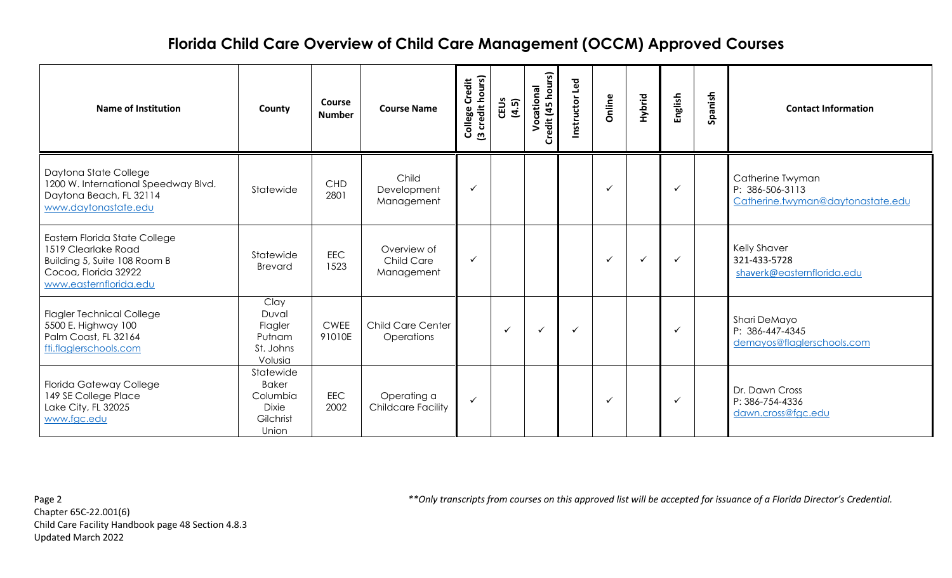| <b>Name of Institution</b>                                                                                                             | County                                                                      | <b>Course</b><br><b>Number</b> | <b>Course Name</b>                             | College Credit<br>(3 credit hours) | CEUS<br>(4.5) | Credit (45 hours)<br>Vocational | Instructor Led | Online       | Hybrid       | English      | Spanish | <b>Contact Information</b>                                               |
|----------------------------------------------------------------------------------------------------------------------------------------|-----------------------------------------------------------------------------|--------------------------------|------------------------------------------------|------------------------------------|---------------|---------------------------------|----------------|--------------|--------------|--------------|---------|--------------------------------------------------------------------------|
| Daytona State College<br>1200 W. International Speedway Blvd.<br>Daytona Beach, FL 32114<br>www.daytonastate.edu                       | Statewide                                                                   | <b>CHD</b><br>2801             | Child<br>Development<br>Management             | $\checkmark$                       |               |                                 |                |              |              | ✓            |         | Catherine Twyman<br>P: 386-506-3113<br>Catherine.twyman@daytonastate.edu |
| Eastern Florida State College<br>1519 Clearlake Road<br>Building 5, Suite 108 Room B<br>Cocoa, Florida 32922<br>www.easternflorida.edu | Statewide<br><b>Brevard</b>                                                 | <b>EEC</b><br>1523             | Overview of<br><b>Child Care</b><br>Management | $\checkmark$                       |               |                                 |                | $\checkmark$ | $\checkmark$ | ✓            |         | <b>Kelly Shaver</b><br>321-433-5728<br>shaverk@easternflorida.edu        |
| <b>Flagler Technical College</b><br>5500 E. Highway 100<br>Palm Coast, FL 32164<br>fti.flaglerschools.com                              | Clay<br>Duval<br>Flagler<br>Putnam<br>St. Johns<br>Volusia                  | <b>CWEE</b><br>91010E          | <b>Child Care Center</b><br>Operations         |                                    | $\checkmark$  | $\checkmark$                    | ✓              |              |              | $\checkmark$ |         | Shari DeMayo<br>P: 386-447-4345<br>demayos@flaglerschools.com            |
| <b>Florida Gateway College</b><br>149 SE College Place<br>Lake City, FL 32025<br>www.fgc.edu                                           | Statewide<br><b>Baker</b><br>Columbia<br><b>Dixie</b><br>Gilchrist<br>Union | <b>EEC</b><br>2002             | Operating a<br><b>Childcare Facility</b>       | $\checkmark$                       |               |                                 |                | ✓            |              | ✓            |         | Dr. Dawn Cross<br>P: 386-754-4336<br>dawn.cross@fgc.edu                  |

Chapter 65C-22.001(6) Child Care Facility Handbook page 48 Section 4.8.3 Updated March 2022

Page 2 *\*\*Only transcripts from courses on this approved list will be accepted for issuance of a Florida Director's Credential.*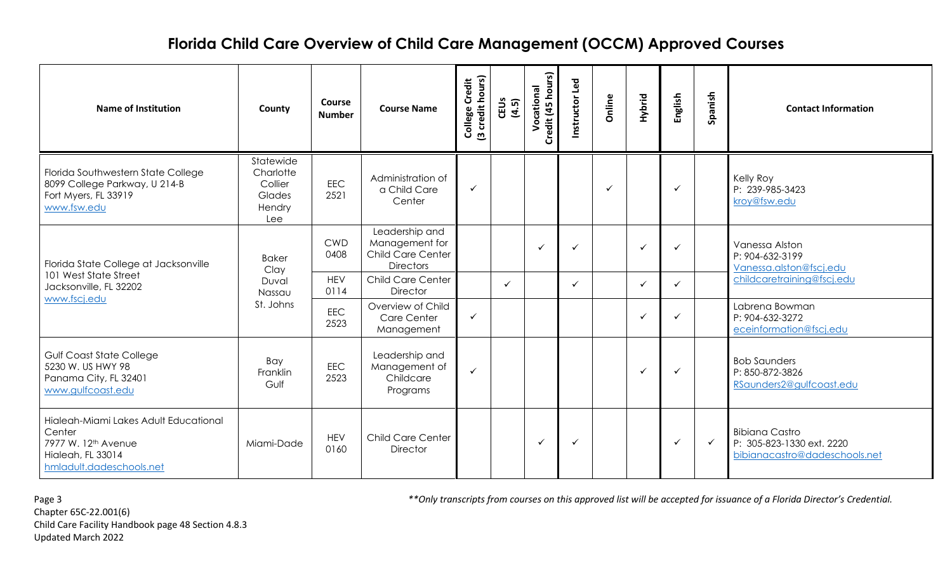| <b>Name of Institution</b>                                                                                                          | County                                                       | Course<br><b>Number</b> | <b>Course Name</b>                                                        | College Credit<br>(3 credit hours)          | CEUS<br>(4.5) | Credit (45 hours)<br>Vocational | Instructor Led | Online       | Hybrid       | English      | Spanish      | <b>Contact Information</b>                                                          |                            |
|-------------------------------------------------------------------------------------------------------------------------------------|--------------------------------------------------------------|-------------------------|---------------------------------------------------------------------------|---------------------------------------------|---------------|---------------------------------|----------------|--------------|--------------|--------------|--------------|-------------------------------------------------------------------------------------|----------------------------|
| Florida Southwestern State College<br>8099 College Parkway, U 214-B<br>Fort Myers, FL 33919<br>www.fsw.edu                          | Statewide<br>Charlotte<br>Collier<br>Glades<br>Hendry<br>Lee | EEC<br>2521             | Administration of<br>a Child Care<br>Center                               | $\checkmark$                                |               |                                 |                | $\checkmark$ |              | ✓            |              | Kelly Roy<br>P: 239-985-3423<br>kroy@fsw.edu                                        |                            |
| Florida State College at Jacksonville                                                                                               | <b>Baker</b><br>Clay                                         | <b>CWD</b><br>0408      | Leadership and<br>Management for<br>Child Care Center<br><b>Directors</b> |                                             |               | $\checkmark$                    | ✓              |              | $\checkmark$ | ✓            |              | Vanessa Alston<br>P: 904-632-3199<br>Vanessa.alston@fscj.edu                        |                            |
| 101 West State Street<br>Jacksonville, FL 32202                                                                                     | Duval<br>Nassau                                              |                         | <b>HEV</b><br>0114                                                        | <b>Child Care Center</b><br><b>Director</b> |               | $\checkmark$                    |                | $\checkmark$ |              | $\checkmark$ | $\checkmark$ |                                                                                     | childcaretraining@fscj.edu |
| www.fscj.edu                                                                                                                        | St. Johns                                                    | <b>EEC</b><br>2523      | Overview of Child<br>Care Center<br>Management                            | $\checkmark$                                |               |                                 |                |              | $\checkmark$ | ✓            |              | Labrena Bowman<br>P: 904-632-3272<br>eceinformation@fscj.edu                        |                            |
| Gulf Coast State College<br>5230 W. US HWY 98<br>Panama City, FL 32401<br>www.gulfcoast.edu                                         | Bay<br>Franklin<br>Gulf                                      | EEC<br>2523             | Leadership and<br>Management of<br>Childcare<br>Programs                  | $\checkmark$                                |               |                                 |                |              | $\checkmark$ | ✓            |              | <b>Bob Saunders</b><br>P: 850-872-3826<br>RSaunders2@gulfcoast.edu                  |                            |
| Hialeah-Miami Lakes Adult Educational<br>Center<br>7977 W. 12 <sup>th</sup> Avenue<br>Hialeah, FL 33014<br>hmladult.dadeschools.net | Miami-Dade                                                   | <b>HEV</b><br>0160      | <b>Child Care Center</b><br><b>Director</b>                               |                                             |               | $\checkmark$                    | ✓              |              |              | ✓            | $\checkmark$ | <b>Bibiana Castro</b><br>P: 305-823-1330 ext. 2220<br>bibianacastro@dadeschools.net |                            |

Page 3 *\*\*Only transcripts from courses on this approved list will be accepted for issuance of a Florida Director's Credential.*

Chapter 65C-22.001(6) Child Care Facility Handbook page 48 Section 4.8.3 Updated March 2022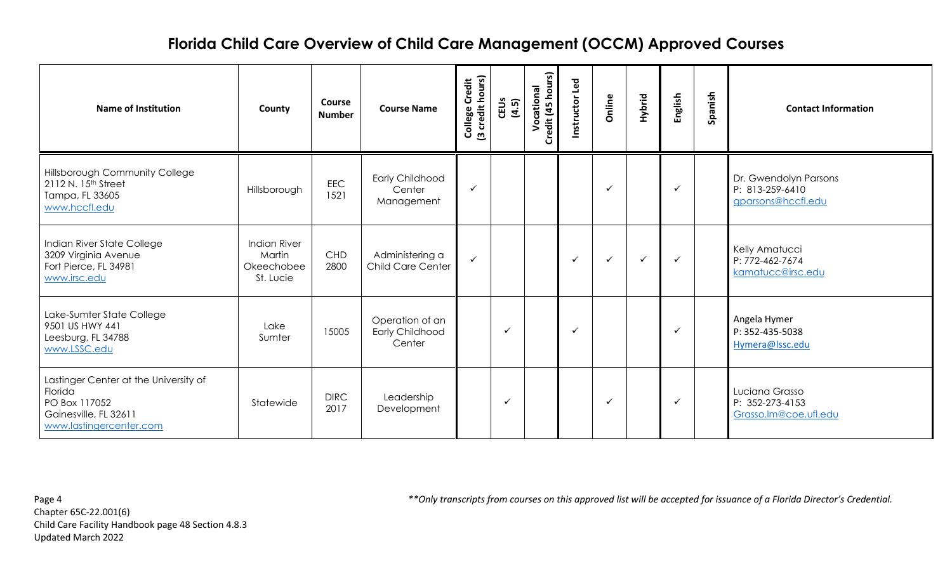| <b>Name of Institution</b>                                                                                            | County                                                   | <b>Course</b><br><b>Number</b> | <b>Course Name</b>                           | College Credit<br>(3 credit hours) | CEUS<br>(4.5) | Credit (45 hours)<br>Vocational | Instructor Led | Online       | Hybrid       | English      | Spanish | <b>Contact Information</b>                                     |
|-----------------------------------------------------------------------------------------------------------------------|----------------------------------------------------------|--------------------------------|----------------------------------------------|------------------------------------|---------------|---------------------------------|----------------|--------------|--------------|--------------|---------|----------------------------------------------------------------|
| <b>Hillsborough Community College</b><br>2112 N. 15 <sup>th</sup> Street<br>Tampa, FL 33605<br>www.hccfl.edu          | Hillsborough                                             | <b>EEC</b><br>1521             | Early Childhood<br>Center<br>Management      | $\checkmark$                       |               |                                 |                | ✓            |              | $\checkmark$ |         | Dr. Gwendolyn Parsons<br>P: 813-259-6410<br>gparsons@hccfl.edu |
| Indian River State College<br>3209 Virginia Avenue<br>Fort Pierce, FL 34981<br>www.irsc.edu                           | <b>Indian River</b><br>Martin<br>Okeechobee<br>St. Lucie | <b>CHD</b><br>2800             | Administering a<br>Child Care Center         | $\checkmark$                       |               |                                 | ✓              | ✓            | $\checkmark$ | $\checkmark$ |         | Kelly Amatucci<br>P: 772-462-7674<br>kamatucc@irsc.edu         |
| Lake-Sumter State College<br>9501 US HWY 441<br>Leesburg, FL 34788<br>www.LSSC.edu                                    | Lake<br>Sumter                                           | 15005                          | Operation of an<br>Early Childhood<br>Center |                                    | $\checkmark$  |                                 | $\checkmark$   |              |              | $\checkmark$ |         | Angela Hymer<br>P: 352-435-5038<br>Hymera@lssc.edu             |
| Lastinger Center at the University of<br>Florida<br>PO Box 117052<br>Gainesville, FL 32611<br>www.lastingercenter.com | Statewide                                                | <b>DIRC</b><br>2017            | Leadership<br>Development                    |                                    | ✓             |                                 |                | $\checkmark$ |              | $\checkmark$ |         | Luciana Grasso<br>P: 352-273-4153<br>Grasso.Im@coe.ufl.edu     |

Chapter 65C-22.001(6) Child Care Facility Handbook page 48 Section 4.8.3 Updated March 2022

Page 4 *\*\*Only transcripts from courses on this approved list will be accepted for issuance of a Florida Director's Credential.*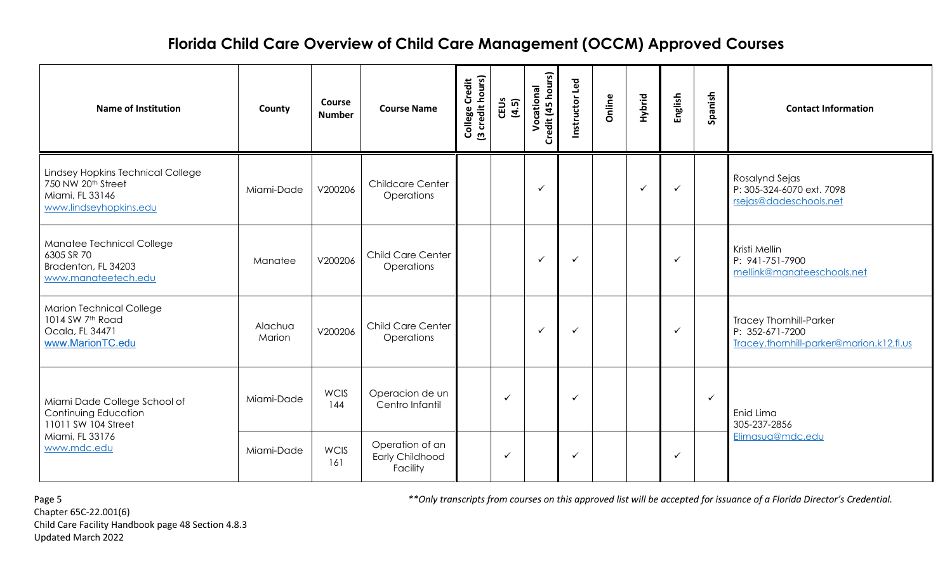| <b>Name of Institution</b>                                                                             | County            | <b>Course</b><br><b>Number</b> | <b>Course Name</b>                                    | College Credit<br>(3 credit hours)<br>CEUS<br>(4.5) | Credit (45 hours)<br>Vocational | Instructor Led | Online       | Hybrid       | English          | Spanish      | <b>Contact Information</b>                                                                    |
|--------------------------------------------------------------------------------------------------------|-------------------|--------------------------------|-------------------------------------------------------|-----------------------------------------------------|---------------------------------|----------------|--------------|--------------|------------------|--------------|-----------------------------------------------------------------------------------------------|
| Lindsey Hopkins Technical College<br>750 NW 20th Street<br>Miami, FL 33146<br>www.lindseyhopkins.edu   | Miami-Dade        | V200206                        | <b>Childcare Center</b><br>Operations                 |                                                     | $\checkmark$                    |                |              | $\checkmark$ | $\checkmark$     |              | Rosalynd Sejas<br>P: 305-324-6070 ext. 7098<br>rsejas@dadeschools.net                         |
| Manatee Technical College<br>6305 SR 70<br>Bradenton, FL 34203<br>www.manateetech.edu                  | Manatee           | V200206                        | Child Care Center<br>Operations                       |                                                     | $\checkmark$                    | ✓              |              |              | $\checkmark$     |              | Kristi Mellin<br>P: 941-751-7900<br>mellink@manateeschools.net                                |
| <b>Marion Technical College</b><br>1014 SW 7 <sup>th</sup> Road<br>Ocala, FL 34471<br>www.MarionTC.edu | Alachua<br>Marion | V200206                        | Child Care Center<br>Operations                       |                                                     | $\checkmark$                    | ✓              |              |              | $\checkmark$     |              | <b>Tracey Thornhill-Parker</b><br>P: 352-671-7200<br>Tracey.thornhill-parker@marion.k12.fl.us |
| Miami Dade College School of<br>Continuing Education<br>11011 SW 104 Street                            | Miami-Dade        | <b>WCIS</b><br>144             | Operacion de un<br>Centro Infantil                    | $\checkmark$                                        |                                 | ✓              |              |              |                  | $\checkmark$ | Enid Lima<br>305-237-2856                                                                     |
| Miami, FL 33176<br>www.mdc.edu                                                                         | Miami-Dade        | <b>WCIS</b><br>161             | Operation of an<br><b>Early Childhood</b><br>Facility | $\checkmark$                                        | ✓                               |                | $\checkmark$ |              | Elimasua@mdc.edu |              |                                                                                               |

Chapter 65C-22.001(6) Child Care Facility Handbook page 48 Section 4.8.3 Updated March 2022

Page 5 *\*\*Only transcripts from courses on this approved list will be accepted for issuance of a Florida Director's Credential.*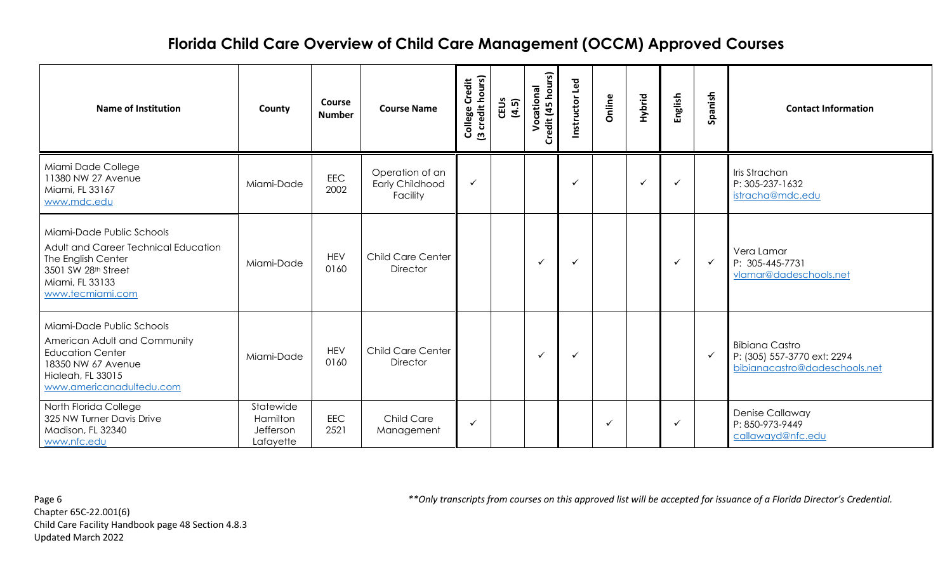| <b>Name of Institution</b>                                                                                                                                  | County                                          | Course<br><b>Number</b> | <b>Course Name</b>                                    | College Credit<br>(3 credit hours) | CEUS<br>(4.5) | edit (45 hours)<br>Vocational<br>å | Instructor Led | Online | Hybrid       | English      | Spanish      | <b>Contact Information</b>                                                            |
|-------------------------------------------------------------------------------------------------------------------------------------------------------------|-------------------------------------------------|-------------------------|-------------------------------------------------------|------------------------------------|---------------|------------------------------------|----------------|--------|--------------|--------------|--------------|---------------------------------------------------------------------------------------|
| Miami Dade College<br>11380 NW 27 Avenue<br>Miami, FL 33167<br>www.mdc.edu                                                                                  | Miami-Dade                                      | EEC<br>2002             | Operation of an<br><b>Early Childhood</b><br>Facility | $\checkmark$                       |               |                                    | $\checkmark$   |        | $\checkmark$ | $\checkmark$ |              | Iris Strachan<br>P: 305-237-1632<br>istracha@mdc.edu                                  |
| Miami-Dade Public Schools<br>Adult and Career Technical Education<br>The English Center<br>3501 SW 28th Street<br>Miami, FL 33133<br>www.tecmiami.com       | Miami-Dade                                      | <b>HEV</b><br>0160      | <b>Child Care Center</b><br><b>Director</b>           |                                    |               | $\checkmark$                       | ✓              |        |              | $\checkmark$ | $\checkmark$ | Vera Lamar<br>P: 305-445-7731<br>vlamar@dadeschools.net                               |
| Miami-Dade Public Schools<br>American Adult and Community<br><b>Education Center</b><br>18350 NW 67 Avenue<br>Hialeah, FL 33015<br>www.americanadultedu.com | Miami-Dade                                      | <b>HEV</b><br>0160      | <b>Child Care Center</b><br><b>Director</b>           |                                    |               | $\checkmark$                       | $\checkmark$   |        |              |              | $\checkmark$ | <b>Bibiana Castro</b><br>P: (305) 557-3770 ext: 2294<br>bibianacastro@dadeschools.net |
| North Florida College<br>325 NW Turner Davis Drive<br>Madison, FL 32340<br>www.nfc.edu                                                                      | Statewide<br>Hamilton<br>Jefferson<br>Lafayette | <b>EEC</b><br>2521      | <b>Child Care</b><br>Management                       | $\checkmark$                       |               |                                    |                | ✓      |              | $\cdot$      |              | Denise Callaway<br>P: 850-973-9449<br>callawayd@nfc.edu                               |

Chapter 65C-22.001(6) Child Care Facility Handbook page 48 Section 4.8.3 Updated March 2022

Page 6 *\*\*Only transcripts from courses on this approved list will be accepted for issuance of a Florida Director's Credential.*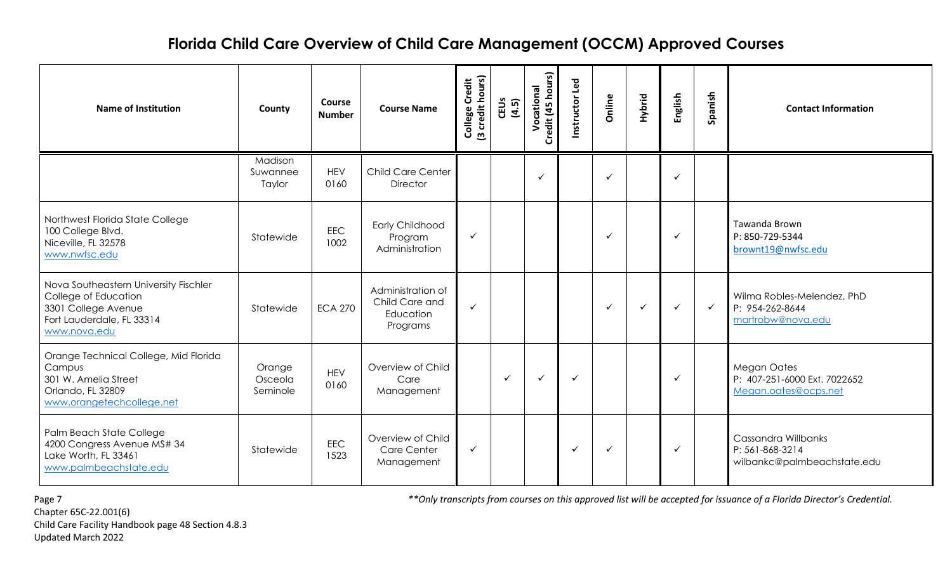| <b>Name of Institution</b>                                                                                                        | County                        | <b>Course</b><br><b>Number</b> | <b>Course Name</b>                                           | (3 credit hours)<br>College Credit | CEUS<br>(4.5) | Credit (45 hours)<br>Vocational | Instructor Led | Online       | Hybrid       | English      | Spanish      | <b>Contact Information</b>                                                 |
|-----------------------------------------------------------------------------------------------------------------------------------|-------------------------------|--------------------------------|--------------------------------------------------------------|------------------------------------|---------------|---------------------------------|----------------|--------------|--------------|--------------|--------------|----------------------------------------------------------------------------|
|                                                                                                                                   | Madison<br>Suwannee<br>Taylor | <b>HEV</b><br>0160             | Child Care Center<br><b>Director</b>                         |                                    |               | $\checkmark$                    |                | $\checkmark$ |              | $\checkmark$ |              |                                                                            |
| Northwest Florida State College<br>100 College Blvd.<br>Niceville, FL 32578<br>www.nwfsc.edu                                      | Statewide                     | EEC<br>1002                    | Early Childhood<br>Program<br>Administration                 | $\checkmark$                       |               |                                 |                | $\checkmark$ |              | ✓            |              | Tawanda Brown<br>P: 850-729-5344<br>brownt19@nwfsc.edu                     |
| Nova Southeastern University Fischler<br>College of Education<br>3301 College Avenue<br>Fort Lauderdale, FL 33314<br>www.nova.edu | Statewide                     | <b>ECA 270</b>                 | Administration of<br>Child Care and<br>Education<br>Programs | $\checkmark$                       |               |                                 |                | $\checkmark$ | $\checkmark$ | $\checkmark$ | $\checkmark$ | Wilma Robles-Melendez, PhD<br>P: 954-262-8644<br>martrobw@nova.edu         |
| Orange Technical College, Mid Florida<br>Campus<br>301 W. Amelia Street<br>Orlando, FL 32809<br>www.orangetechcollege.net         | Orange<br>Osceola<br>Seminole | <b>HEV</b><br>0160             | Overview of Child<br>Care<br>Management                      |                                    | $\checkmark$  | $\checkmark$                    | ✓              |              |              | ✓            |              | <b>Megan Oates</b><br>P: 407-251-6000 Ext. 7022652<br>Megan.oates@ocps.net |
| Palm Beach State College<br>4200 Congress Avenue MS# 34<br>Lake Worth, FL 33461<br>www.palmbeachstate.edu                         | Statewide                     | EEC<br>1523                    | Overview of Child<br>Care Center<br>Management               | $\checkmark$                       |               |                                 | ✓              | $\checkmark$ |              | ✓            |              | Cassandra Willbanks<br>P: 561-868-3214<br>wilbankc@palmbeachstate.edu      |

Chapter 65C-22.001(6) Child Care Facility Handbook page 48 Section 4.8.3 Updated March 2022

Page 7 *\*\*Only transcripts from courses on this approved list will be accepted for issuance of a Florida Director's Credential.*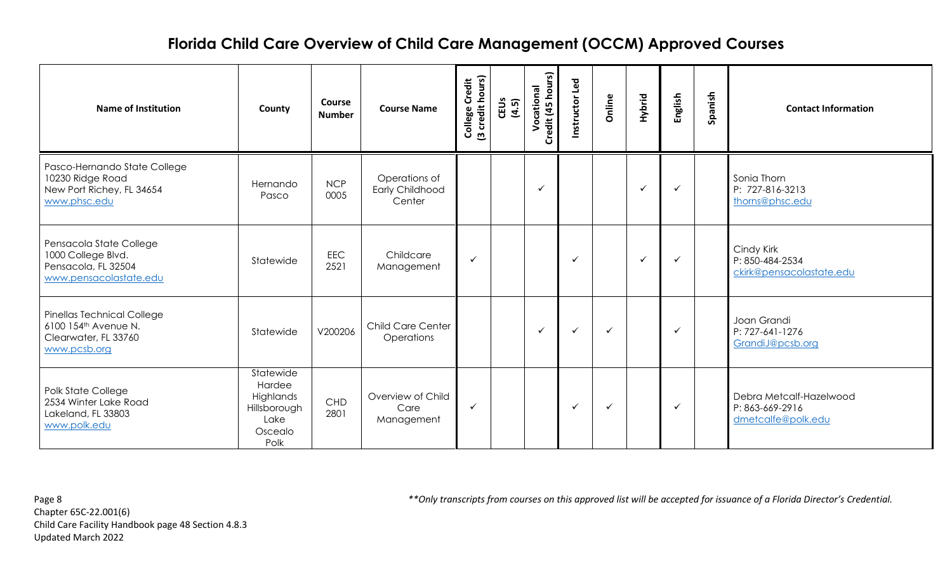| <b>Name of Institution</b>                                                                             | County                                                                      | <b>Course</b><br><b>Number</b> | <b>Course Name</b>                         | College Credit<br>(3 credit hours) | CEUS<br>(4.5) | Credit (45 hours)<br>Vocational | Instructor Led | Online       | Hybrid       | English      | Spanish | <b>Contact Information</b>                                       |
|--------------------------------------------------------------------------------------------------------|-----------------------------------------------------------------------------|--------------------------------|--------------------------------------------|------------------------------------|---------------|---------------------------------|----------------|--------------|--------------|--------------|---------|------------------------------------------------------------------|
| Pasco-Hernando State College<br>10230 Ridge Road<br>New Port Richey, FL 34654<br>www.phsc.edu          | Hernando<br>Pasco                                                           | <b>NCP</b><br>0005             | Operations of<br>Early Childhood<br>Center |                                    |               | $\checkmark$                    |                |              | $\checkmark$ | $\checkmark$ |         | Sonia Thorn<br>P: 727-816-3213<br>thorns@phsc.edu                |
| Pensacola State College<br>1000 College Blvd.<br>Pensacola, FL 32504<br>www.pensacolastate.edu         | Statewide                                                                   | <b>EEC</b><br>2521             | Childcare<br>Management                    | $\checkmark$                       |               |                                 | $\checkmark$   |              | $\checkmark$ | $\checkmark$ |         | Cindy Kirk<br>P: 850-484-2534<br>ckirk@pensacolastate.edu        |
| Pinellas Technical College<br>6100 154 <sup>th</sup> Avenue N.<br>Clearwater, FL 33760<br>www.pcsb.org | Statewide                                                                   | V200206                        | <b>Child Care Center</b><br>Operations     |                                    |               | $\checkmark$                    | $\checkmark$   | $\checkmark$ |              | $\checkmark$ |         | Joan Grandi<br>P: 727-641-1276<br>GrandiJ@pcsb.org               |
| Polk State College<br>2534 Winter Lake Road<br>Lakeland, FL 33803<br>www.polk.edu                      | Statewide<br>Hardee<br>Highlands<br>Hillsborough<br>Lake<br>Oscealo<br>Polk | CHD<br>2801                    | Overview of Child<br>Care<br>Management    | ✓                                  |               |                                 | $\checkmark$   | $\checkmark$ |              | $\checkmark$ |         | Debra Metcalf-Hazelwood<br>P: 863-669-2916<br>dmetcalfe@polk.edu |

Chapter 65C-22.001(6) Child Care Facility Handbook page 48 Section 4.8.3 Updated March 2022

Page 8 *\*\*Only transcripts from courses on this approved list will be accepted for issuance of a Florida Director's Credential.*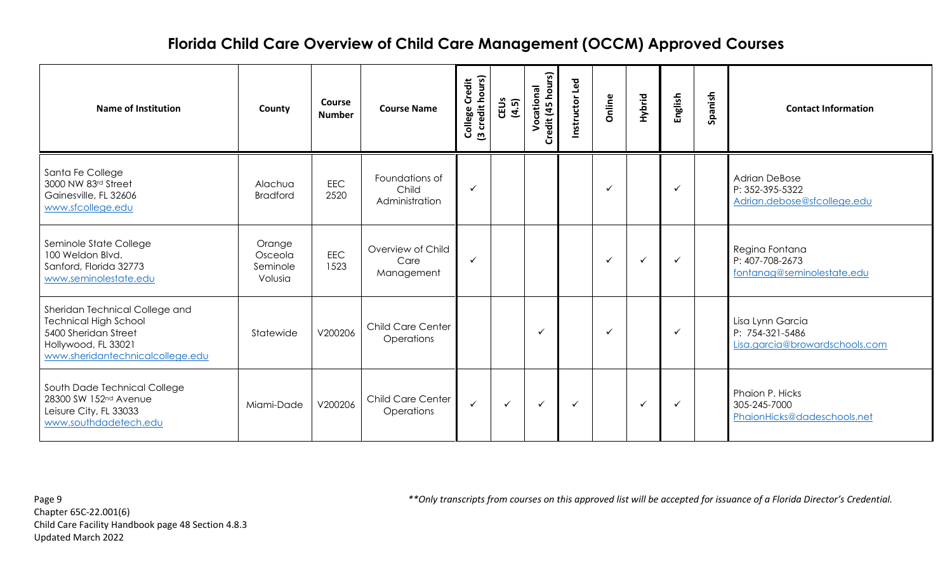| <b>Name of Institution</b>                                                                                                                        | County                                   | <b>Course</b><br><b>Number</b> | <b>Course Name</b>                        | College Credit<br>(3 credit hours) | CEUS<br>(4.5) | Credit (45 hours)<br>Vocational | Instructor Led | Online       | Hybrid       | English      | Spanish | <b>Contact Information</b>                                             |
|---------------------------------------------------------------------------------------------------------------------------------------------------|------------------------------------------|--------------------------------|-------------------------------------------|------------------------------------|---------------|---------------------------------|----------------|--------------|--------------|--------------|---------|------------------------------------------------------------------------|
| Santa Fe College<br>3000 NW 83rd Street<br>Gainesville, FL 32606<br>www.sfcollege.edu                                                             | Alachua<br><b>Bradford</b>               | <b>EEC</b><br>2520             | Foundations of<br>Child<br>Administration | $\checkmark$                       |               |                                 |                | ✓            |              | $\checkmark$ |         | <b>Adrian DeBose</b><br>P: 352-395-5322<br>Adrian.debose@sfcollege.edu |
| Seminole State College<br>100 Weldon Blvd.<br>Sanford, Florida 32773<br>www.seminolestate.edu                                                     | Orange<br>Osceola<br>Seminole<br>Volusia | <b>EEC</b><br>1523             | Overview of Child<br>Care<br>Management   | $\checkmark$                       |               |                                 |                | $\checkmark$ | $\checkmark$ | $\checkmark$ |         | Regina Fontana<br>P: 407-708-2673<br>fontanag@seminolestate.edu        |
| Sheridan Technical College and<br><b>Technical High School</b><br>5400 Sheridan Street<br>Hollywood, FL 33021<br>www.sheridantechnicalcollege.edu | Statewide                                | V200206                        | <b>Child Care Center</b><br>Operations    |                                    |               | ✓                               |                |              |              | $\checkmark$ |         | Lisa Lynn Garcia<br>P: 754-321-5486<br>Lisa.garcia@browardschools.com  |
| South Dade Technical College<br>28300 SW 152nd Avenue<br>Leisure City, FL 33033<br>www.southdadetech.edu                                          | Miami-Dade                               | V200206                        | <b>Child Care Center</b><br>Operations    | $\checkmark$                       | $\checkmark$  | $\checkmark$                    | $\checkmark$   |              | $\checkmark$ | $\checkmark$ |         | Phaion P. Hicks<br>305-245-7000<br>PhaionHicks@dadeschools.net         |

Chapter 65C-22.001(6) Child Care Facility Handbook page 48 Section 4.8.3 Updated March 2022

Page 9 *\*\*Only transcripts from courses on this approved list will be accepted for issuance of a Florida Director's Credential.*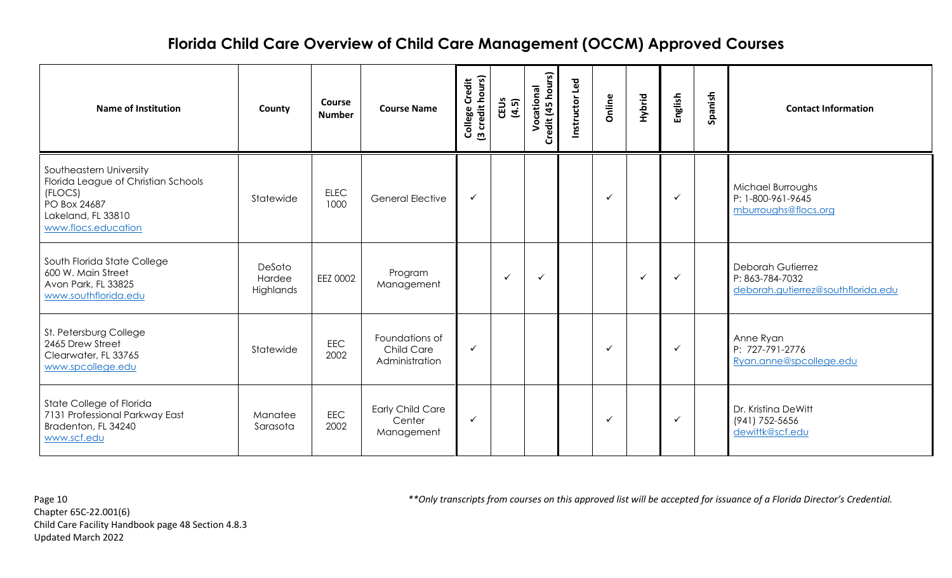| <b>Name of Institution</b>                                                                                                             | County                        | <b>Course</b><br><b>Number</b> | <b>Course Name</b>                                    | College Credit<br>(3 credit hours) | CEUS<br>(4.5) | edit (45 hours)<br>Vocational<br>Ğ | Instructor Led | Online       | Hybrid       | English      | Spanish | <b>Contact Information</b>                                                        |
|----------------------------------------------------------------------------------------------------------------------------------------|-------------------------------|--------------------------------|-------------------------------------------------------|------------------------------------|---------------|------------------------------------|----------------|--------------|--------------|--------------|---------|-----------------------------------------------------------------------------------|
| Southeastern University<br>Florida League of Christian Schools<br>(FLOCS)<br>PO Box 24687<br>Lakeland, FL 33810<br>www.flocs.education | Statewide                     | <b>ELEC</b><br>1000            | <b>General Elective</b>                               | $\checkmark$                       |               |                                    |                | $\checkmark$ |              | $\checkmark$ |         | Michael Burroughs<br>P: 1-800-961-9645<br>mburroughs@flocs.org                    |
| South Florida State College<br>600 W. Main Street<br>Avon Park, FL 33825<br>www.southflorida.edu                                       | DeSoto<br>Hardee<br>Highlands | EEZ 0002                       | Program<br>Management                                 |                                    | ✓             | $\checkmark$                       |                |              | $\checkmark$ | $\checkmark$ |         | <b>Deborah Gutierrez</b><br>P: 863-784-7032<br>deborah.gutierrez@southflorida.edu |
| St. Petersburg College<br>2465 Drew Street<br>Clearwater, FL 33765<br>www.spcollege.edu                                                | Statewide                     | EEC<br>2002                    | Foundations of<br><b>Child Care</b><br>Administration | $\checkmark$                       |               |                                    |                | ✓            |              | $\checkmark$ |         | Anne Ryan<br>P: 727-791-2776<br>Ryan.anne@spcollege.edu                           |
| State College of Florida<br>7131 Professional Parkway East<br>Bradenton, FL 34240<br>www.scf.edu                                       | Manatee<br>Sarasota           | <b>EEC</b><br>2002             | <b>Early Child Care</b><br>Center<br>Management       | $\checkmark$                       |               |                                    |                | $\checkmark$ |              | $\checkmark$ |         | Dr. Kristina DeWitt<br>(941) 752-5656<br>dewittk@scf.edu                          |

Chapter 65C-22.001(6) Child Care Facility Handbook page 48 Section 4.8.3 Updated March 2022

Page 10 *\*\*Only transcripts from courses on this approved list will be accepted for issuance of a Florida Director's Credential.*